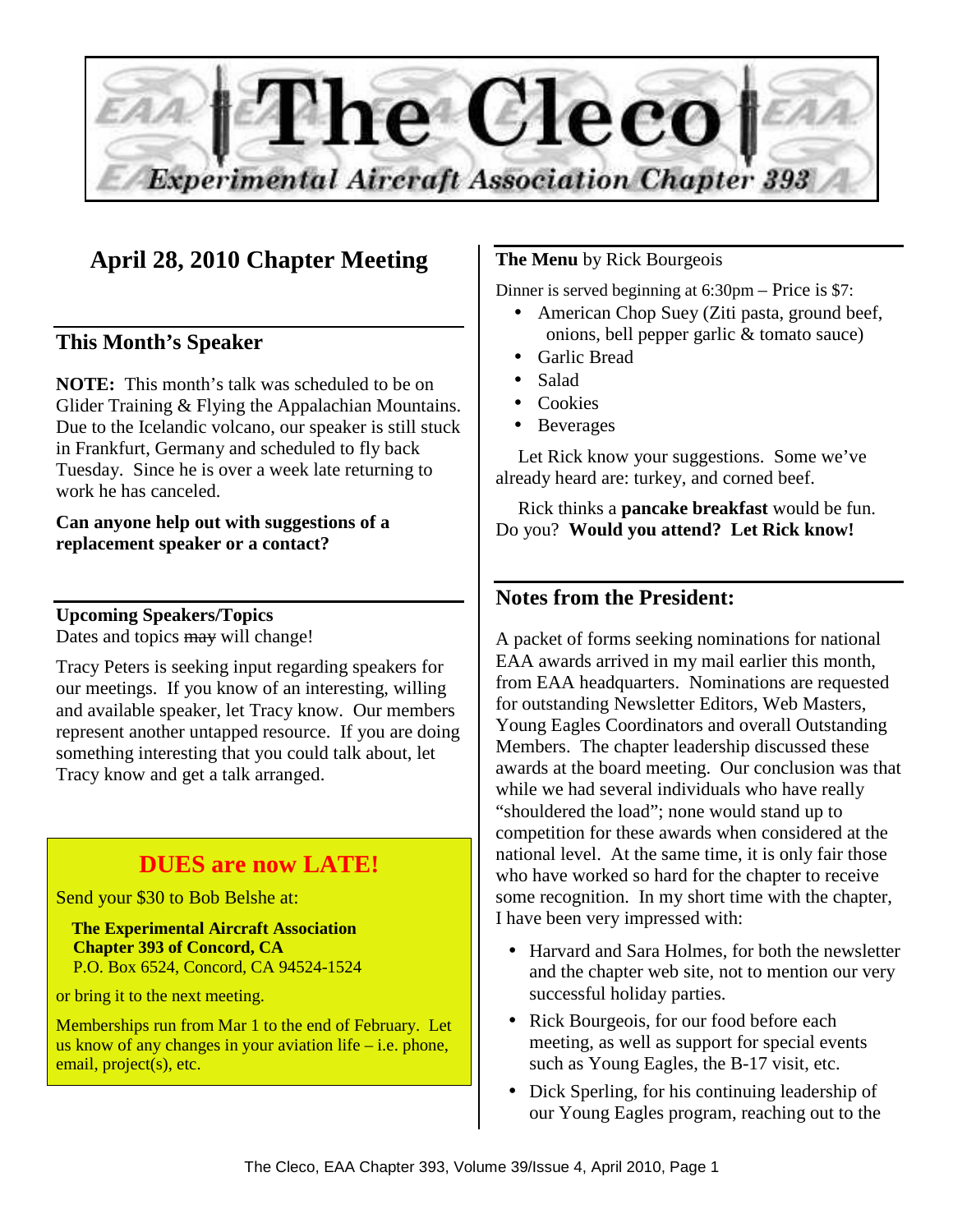

# **April 28, 2010 Chapter Meeting**

## **This Month's Speaker**

**NOTE:** This month's talk was scheduled to be on Glider Training & Flying the Appalachian Mountains. Due to the Icelandic volcano, our speaker is still stuck in Frankfurt, Germany and scheduled to fly back Tuesday. Since he is over a week late returning to work he has canceled.

#### **Can anyone help out with suggestions of a replacement speaker or a contact?**

**Upcoming Speakers/Topics**  Dates and topics may will change!

Tracy Peters is seeking input regarding speakers for our meetings. If you know of an interesting, willing and available speaker, let Tracy know. Our members represent another untapped resource. If you are doing something interesting that you could talk about, let Tracy know and get a talk arranged.

# **DUES are now LATE!**

Send your \$30 to Bob Belshe at:

 **The Experimental Aircraft Association Chapter 393 of Concord, CA**  P.O. Box 6524, Concord, CA 94524-1524

or bring it to the next meeting.

Memberships run from Mar 1 to the end of February. Let us know of any changes in your aviation life – i.e. phone, email, project(s), etc.

## **The Menu** by Rick Bourgeois

Dinner is served beginning at 6:30pm – Price is \$7:

- American Chop Suey (Ziti pasta, ground beef, onions, bell pepper garlic & tomato sauce)
- Garlic Bread
- Salad
- Cookies
- Beverages

Let Rick know your suggestions. Some we've already heard are: turkey, and corned beef.

Rick thinks a **pancake breakfast** would be fun. Do you? **Would you attend? Let Rick know!** 

## **Notes from the President:**

A packet of forms seeking nominations for national EAA awards arrived in my mail earlier this month, from EAA headquarters. Nominations are requested for outstanding Newsletter Editors, Web Masters, Young Eagles Coordinators and overall Outstanding Members. The chapter leadership discussed these awards at the board meeting. Our conclusion was that while we had several individuals who have really "shouldered the load"; none would stand up to competition for these awards when considered at the national level. At the same time, it is only fair those who have worked so hard for the chapter to receive some recognition. In my short time with the chapter, I have been very impressed with:

- Harvard and Sara Holmes, for both the newsletter and the chapter web site, not to mention our very successful holiday parties.
- Rick Bourgeois, for our food before each meeting, as well as support for special events such as Young Eagles, the B-17 visit, etc.
- Dick Sperling, for his continuing leadership of our Young Eagles program, reaching out to the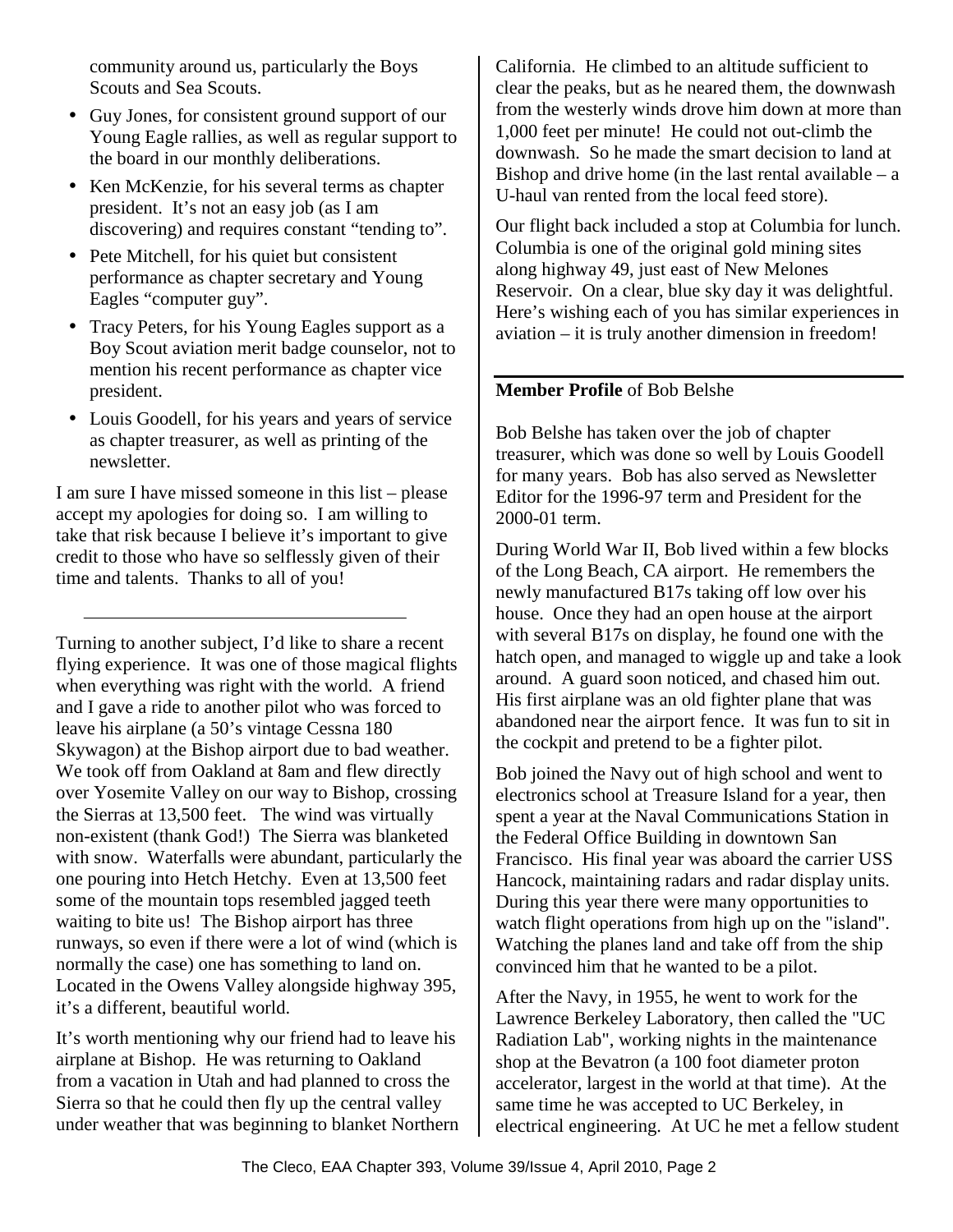community around us, particularly the Boys Scouts and Sea Scouts.

- Guy Jones, for consistent ground support of our Young Eagle rallies, as well as regular support to the board in our monthly deliberations.
- Ken McKenzie, for his several terms as chapter president. It's not an easy job (as I am discovering) and requires constant "tending to".
- Pete Mitchell, for his quiet but consistent performance as chapter secretary and Young Eagles "computer guy".
- Tracy Peters, for his Young Eagles support as a Boy Scout aviation merit badge counselor, not to mention his recent performance as chapter vice president.
- Louis Goodell, for his years and years of service as chapter treasurer, as well as printing of the newsletter.

I am sure I have missed someone in this list – please accept my apologies for doing so. I am willing to take that risk because I believe it's important to give credit to those who have so selflessly given of their time and talents. Thanks to all of you!

Turning to another subject, I'd like to share a recent flying experience. It was one of those magical flights when everything was right with the world. A friend and I gave a ride to another pilot who was forced to leave his airplane (a 50's vintage Cessna 180 Skywagon) at the Bishop airport due to bad weather. We took off from Oakland at 8am and flew directly over Yosemite Valley on our way to Bishop, crossing the Sierras at 13,500 feet. The wind was virtually non-existent (thank God!) The Sierra was blanketed with snow. Waterfalls were abundant, particularly the one pouring into Hetch Hetchy. Even at 13,500 feet some of the mountain tops resembled jagged teeth waiting to bite us! The Bishop airport has three runways, so even if there were a lot of wind (which is normally the case) one has something to land on. Located in the Owens Valley alongside highway 395, it's a different, beautiful world.

It's worth mentioning why our friend had to leave his airplane at Bishop. He was returning to Oakland from a vacation in Utah and had planned to cross the Sierra so that he could then fly up the central valley under weather that was beginning to blanket Northern California. He climbed to an altitude sufficient to clear the peaks, but as he neared them, the downwash from the westerly winds drove him down at more than 1,000 feet per minute! He could not out-climb the downwash. So he made the smart decision to land at Bishop and drive home (in the last rental available  $-$  a U-haul van rented from the local feed store).

Our flight back included a stop at Columbia for lunch. Columbia is one of the original gold mining sites along highway 49, just east of New Melones Reservoir. On a clear, blue sky day it was delightful. Here's wishing each of you has similar experiences in aviation – it is truly another dimension in freedom!

## **Member Profile** of Bob Belshe

Bob Belshe has taken over the job of chapter treasurer, which was done so well by Louis Goodell for many years. Bob has also served as Newsletter Editor for the 1996-97 term and President for the 2000-01 term.

During World War II, Bob lived within a few blocks of the Long Beach, CA airport. He remembers the newly manufactured B17s taking off low over his house. Once they had an open house at the airport with several B17s on display, he found one with the hatch open, and managed to wiggle up and take a look around. A guard soon noticed, and chased him out. His first airplane was an old fighter plane that was abandoned near the airport fence. It was fun to sit in the cockpit and pretend to be a fighter pilot.

Bob joined the Navy out of high school and went to electronics school at Treasure Island for a year, then spent a year at the Naval Communications Station in the Federal Office Building in downtown San Francisco. His final year was aboard the carrier USS Hancock, maintaining radars and radar display units. During this year there were many opportunities to watch flight operations from high up on the "island". Watching the planes land and take off from the ship convinced him that he wanted to be a pilot.

After the Navy, in 1955, he went to work for the Lawrence Berkeley Laboratory, then called the "UC Radiation Lab", working nights in the maintenance shop at the Bevatron (a 100 foot diameter proton accelerator, largest in the world at that time). At the same time he was accepted to UC Berkeley, in electrical engineering. At UC he met a fellow student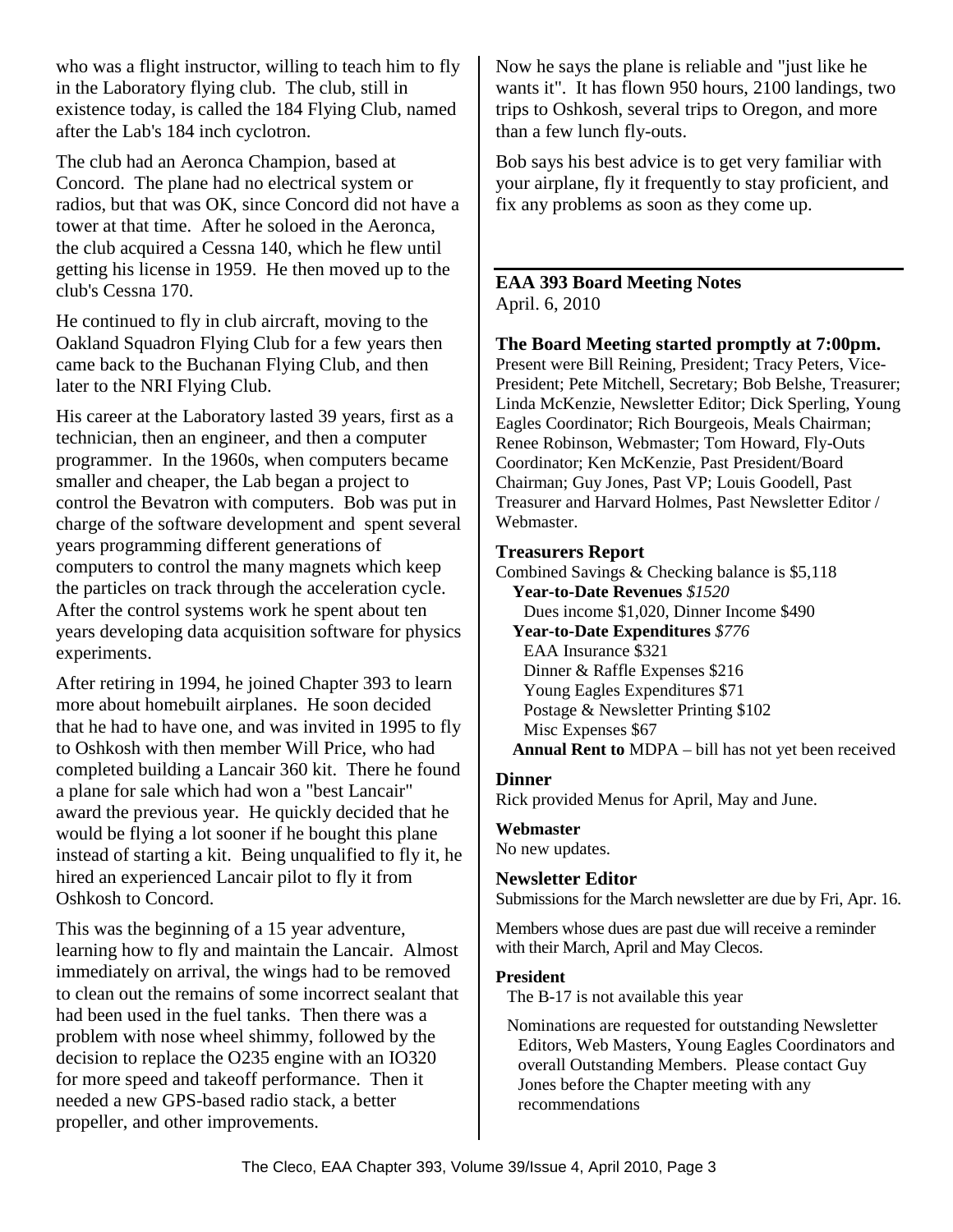who was a flight instructor, willing to teach him to fly in the Laboratory flying club. The club, still in existence today, is called the 184 Flying Club, named after the Lab's 184 inch cyclotron.

The club had an Aeronca Champion, based at Concord. The plane had no electrical system or radios, but that was OK, since Concord did not have a tower at that time. After he soloed in the Aeronca, the club acquired a Cessna 140, which he flew until getting his license in 1959. He then moved up to the club's Cessna 170.

He continued to fly in club aircraft, moving to the Oakland Squadron Flying Club for a few years then came back to the Buchanan Flying Club, and then later to the NRI Flying Club.

His career at the Laboratory lasted 39 years, first as a technician, then an engineer, and then a computer programmer. In the 1960s, when computers became smaller and cheaper, the Lab began a project to control the Bevatron with computers. Bob was put in charge of the software development and spent several years programming different generations of computers to control the many magnets which keep the particles on track through the acceleration cycle. After the control systems work he spent about ten years developing data acquisition software for physics experiments.

After retiring in 1994, he joined Chapter 393 to learn more about homebuilt airplanes. He soon decided that he had to have one, and was invited in 1995 to fly to Oshkosh with then member Will Price, who had completed building a Lancair 360 kit. There he found a plane for sale which had won a "best Lancair" award the previous year. He quickly decided that he would be flying a lot sooner if he bought this plane instead of starting a kit. Being unqualified to fly it, he hired an experienced Lancair pilot to fly it from Oshkosh to Concord.

This was the beginning of a 15 year adventure, learning how to fly and maintain the Lancair. Almost immediately on arrival, the wings had to be removed to clean out the remains of some incorrect sealant that had been used in the fuel tanks. Then there was a problem with nose wheel shimmy, followed by the decision to replace the O235 engine with an IO320 for more speed and takeoff performance. Then it needed a new GPS-based radio stack, a better propeller, and other improvements.

Now he says the plane is reliable and "just like he wants it". It has flown 950 hours, 2100 landings, two trips to Oshkosh, several trips to Oregon, and more than a few lunch fly-outs.

Bob says his best advice is to get very familiar with your airplane, fly it frequently to stay proficient, and fix any problems as soon as they come up.

#### **EAA 393 Board Meeting Notes**  April. 6, 2010

#### **The Board Meeting started promptly at 7:00pm.**

Present were Bill Reining, President; Tracy Peters, Vice-President; Pete Mitchell, Secretary; Bob Belshe, Treasurer; Linda McKenzie, Newsletter Editor; Dick Sperling, Young Eagles Coordinator; Rich Bourgeois, Meals Chairman; Renee Robinson, Webmaster; Tom Howard, Fly-Outs Coordinator; Ken McKenzie, Past President/Board Chairman; Guy Jones, Past VP; Louis Goodell, Past Treasurer and Harvard Holmes, Past Newsletter Editor / Webmaster.

#### **Treasurers Report**

Combined Savings & Checking balance is \$5,118 **Year-to-Date Revenues** *\$1520*  Dues income \$1,020, Dinner Income \$490 **Year-to-Date Expenditures** *\$776*  EAA Insurance \$321 Dinner & Raffle Expenses \$216 Young Eagles Expenditures \$71 Postage & Newsletter Printing \$102 Misc Expenses \$67 **Annual Rent to** MDPA – bill has not yet been received

#### **Dinner**

Rick provided Menus for April, May and June.

## **Webmaster**

No new updates.

## **Newsletter Editor**

Submissions for the March newsletter are due by Fri, Apr. 16.

Members whose dues are past due will receive a reminder with their March, April and May Clecos.

#### **President**

The B-17 is not available this year

Nominations are requested for outstanding Newsletter Editors, Web Masters, Young Eagles Coordinators and overall Outstanding Members. Please contact Guy Jones before the Chapter meeting with any recommendations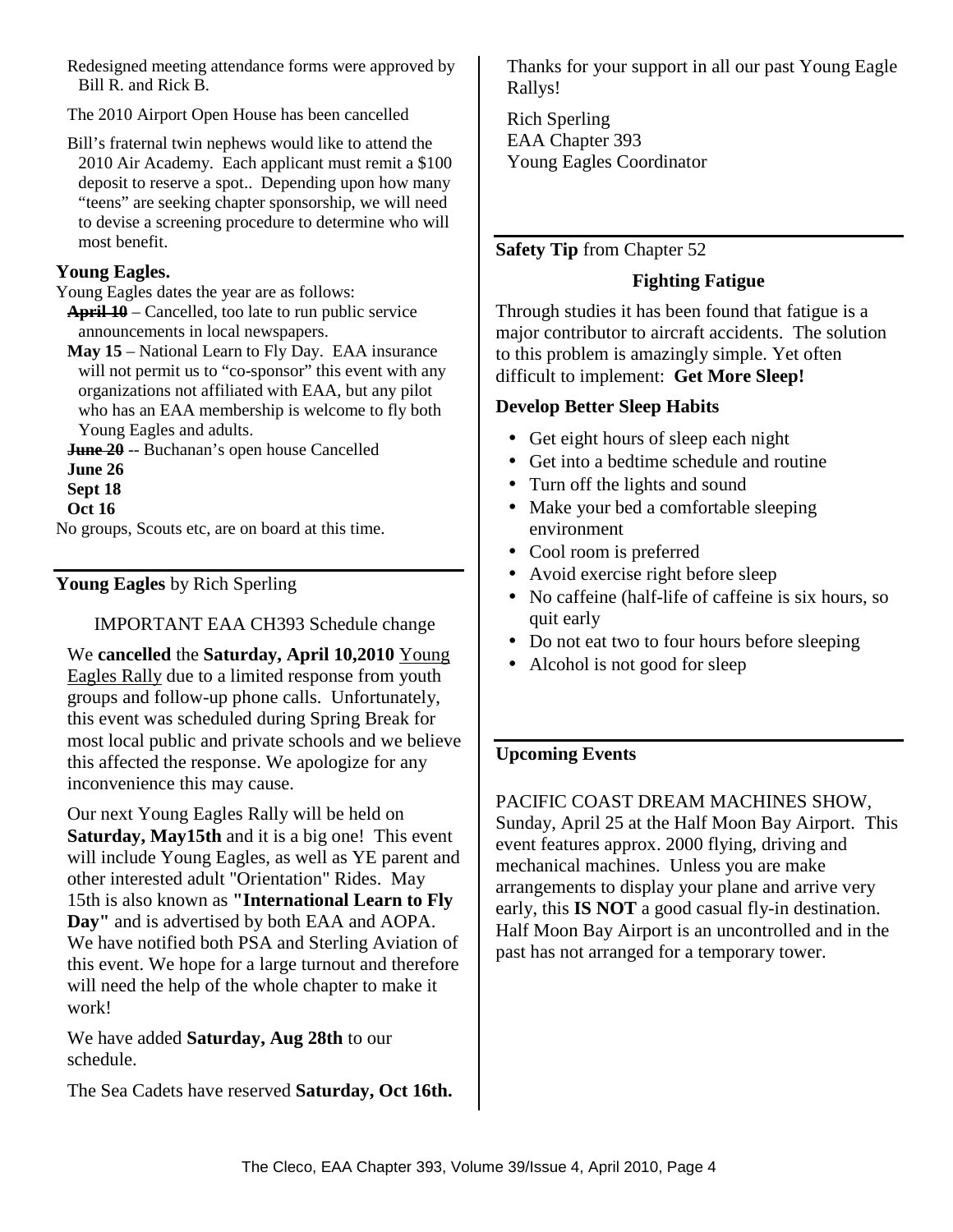Redesigned meeting attendance forms were approved by Bill R. and Rick B.

The 2010 Airport Open House has been cancelled

Bill's fraternal twin nephews would like to attend the 2010 Air Academy. Each applicant must remit a \$100 deposit to reserve a spot.. Depending upon how many "teens" are seeking chapter sponsorship, we will need to devise a screening procedure to determine who will most benefit.

#### **Young Eagles.**

Young Eagles dates the year are as follows:

**April 10** – Cancelled, too late to run public service announcements in local newspapers.

**May 15** – National Learn to Fly Day. EAA insurance will not permit us to "co-sponsor" this event with any organizations not affiliated with EAA, but any pilot who has an EAA membership is welcome to fly both Young Eagles and adults.

**June 20** -- Buchanan's open house Cancelled

**June 26**

**Sept 18** 

**Oct 16** 

No groups, Scouts etc, are on board at this time.

**Young Eagles** by Rich Sperling

IMPORTANT EAA CH393 Schedule change

We **cancelled** the **Saturday, April 10,2010** Young Eagles Rally due to a limited response from youth groups and follow-up phone calls. Unfortunately, this event was scheduled during Spring Break for most local public and private schools and we believe this affected the response. We apologize for any inconvenience this may cause.

Our next Young Eagles Rally will be held on **Saturday, May15th** and it is a big one! This event will include Young Eagles, as well as YE parent and other interested adult "Orientation" Rides. May 15th is also known as **"International Learn to Fly Day"** and is advertised by both EAA and AOPA. We have notified both PSA and Sterling Aviation of this event. We hope for a large turnout and therefore will need the help of the whole chapter to make it work!

We have added **Saturday, Aug 28th** to our schedule.

The Sea Cadets have reserved **Saturday, Oct 16th.**

Thanks for your support in all our past Young Eagle Rallys!

Rich Sperling EAA Chapter 393 Young Eagles Coordinator

## **Safety Tip** from Chapter 52

## **Fighting Fatigue**

Through studies it has been found that fatigue is a major contributor to aircraft accidents. The solution to this problem is amazingly simple. Yet often difficult to implement: **Get More Sleep!**

#### **Develop Better Sleep Habits**

- Get eight hours of sleep each night
- Get into a bedtime schedule and routine
- Turn off the lights and sound
- Make your bed a comfortable sleeping environment
- Cool room is preferred
- Avoid exercise right before sleep
- No caffeine (half-life of caffeine is six hours, so quit early
- Do not eat two to four hours before sleeping
- Alcohol is not good for sleep

## **Upcoming Events**

PACIFIC COAST DREAM MACHINES SHOW, Sunday, April 25 at the Half Moon Bay Airport. This event features approx. 2000 flying, driving and mechanical machines. Unless you are make arrangements to display your plane and arrive very early, this **IS NOT** a good casual fly-in destination. Half Moon Bay Airport is an uncontrolled and in the past has not arranged for a temporary tower.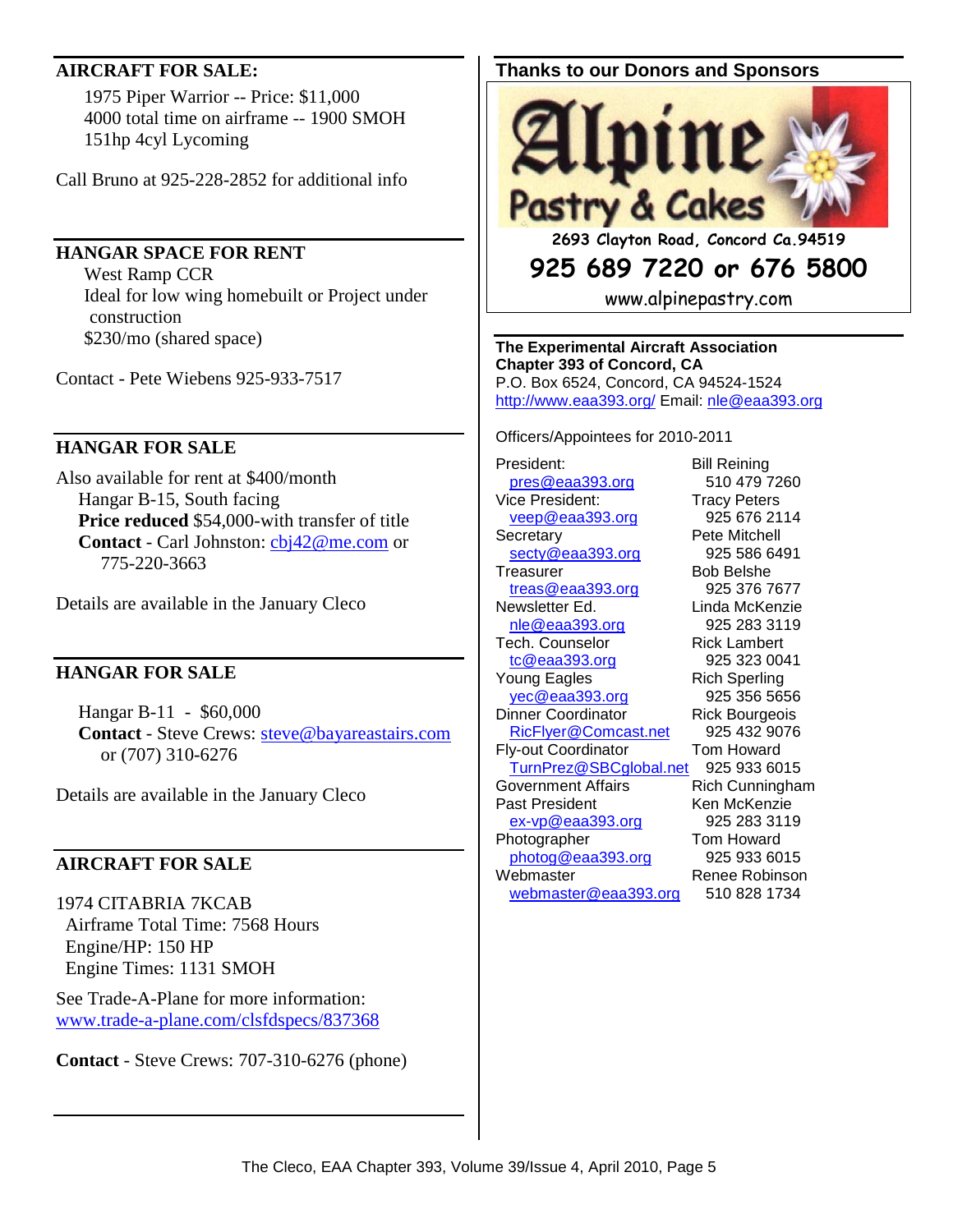#### **AIRCRAFT FOR SALE:**

 1975 Piper Warrior -- Price: \$11,000 4000 total time on airframe -- 1900 SMOH 151hp 4cyl Lycoming

Call Bruno at 925-228-2852 for additional info

#### **HANGAR SPACE FOR RENT**

 West Ramp CCR Ideal for low wing homebuilt or Project under construction \$230/mo (shared space)

Contact - Pete Wiebens 925-933-7517

#### **HANGAR FOR SALE**

Also available for rent at \$400/month Hangar B-15, South facing **Price reduced** \$54,000-with transfer of title **Contact** - Carl Johnston: cbj42@me.com or 775-220-3663

Details are available in the January Cleco

#### **HANGAR FOR SALE**

Hangar B-11 - \$60,000 **Contact** - Steve Crews: steve@bayareastairs.com or (707) 310-6276

Details are available in the January Cleco

#### **AIRCRAFT FOR SALE**

1974 CITABRIA 7KCAB Airframe Total Time: 7568 Hours Engine/HP: 150 HP Engine Times: 1131 SMOH

See Trade-A-Plane for more information: www.trade-a-plane.com/clsfdspecs/837368

**Contact** - Steve Crews: 707-310-6276 (phone)

## **Thanks to our Donors and Sponsors**



**2693 Clayton Road, Concord Ca.94519** 

# **925 689 7220 or 676 5800**

www.alpinepastry.com

**The Experimental Aircraft Association Chapter 393 of Concord, CA**  P.O. Box 6524, Concord, CA 94524-1524 http://www.eaa393.org/ Email: nle@eaa393.org

Officers/Appointees for 2010-2011

President: Bill Reining pres@eaa393.org 510 479 7260 Vice President: Tracy Peters veep@eaa393.org 925 676 2114 Secretary **Pete Mitchell** secty@eaa393.org 925 586 6491 Treasurer Bob Belshe treas@eaa393.org 925 376 7677 Newsletter Ed. Linda McKenzie nle@eaa393.org 925 283 3119 Tech. Counselor **Rick Lambert** tc@eaa393.org 925 323 0041 Young Eagles **Rich Sperling** yec@eaa393.org 925 356 5656 Dinner Coordinator **Rick Bourgeois** RicFlyer@Comcast.net 925 432 9076 Fly-out Coordinator Tom Howard TurnPrez@SBCglobal.net 925 933 6015 Government Affairs **Rich Cunningham** Past President Ken McKenzie ex-vp@eaa393.org 925 283 3119 Photographer Tom Howard photog@eaa393.org 925 933 6015 Webmaster Renee Robinson webmaster@eaa393.org 510 828 1734